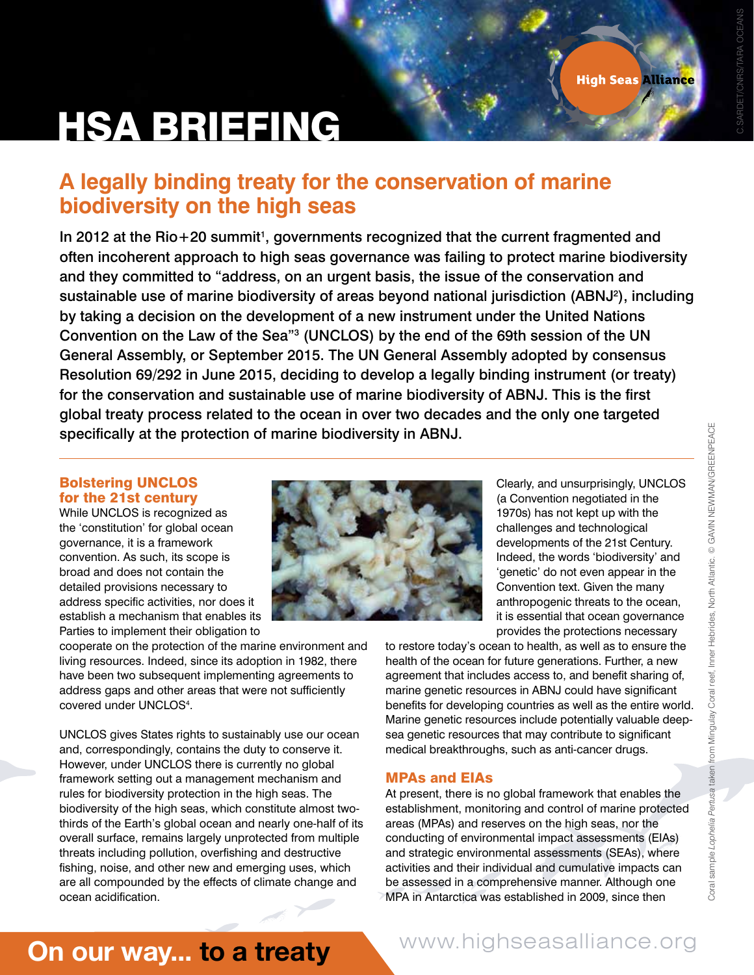# HSA BRIEFING

### **A legally binding treaty for the conservation of marine biodiversity on the high seas**

In 2012 at the Rio+20 summit<sup>1</sup>, governments recognized that the current fragmented and often incoherent approach to high seas governance was failing to protect marine biodiversity and they committed to "address, on an urgent basis, the issue of the conservation and sustainable use of marine biodiversity of areas beyond national jurisdiction (ABNJ<sup>2</sup>), including by taking a decision on the development of a new instrument under the United Nations Convention on the Law of the Sea"3 (UNCLOS) by the end of the 69th session of the UN General Assembly, or September 2015. The UN General Assembly adopted by consensus Resolution 69/292 in June 2015, deciding to develop a legally binding instrument (or treaty) for the conservation and sustainable use of marine biodiversity of ABNJ. This is the first global treaty process related to the ocean in over two decades and the only one targeted specifically at the protection of marine biodiversity in ABNJ.

### Bolstering UNCLOS for the 21st century

While UNCLOS is recognized as the 'constitution' for global ocean governance, it is a framework convention. As such, its scope is broad and does not contain the detailed provisions necessary to address specific activities, nor does it establish a mechanism that enables its Parties to implement their obligation to

cooperate on the protection of the marine environment and living resources. Indeed, since its adoption in 1982, there have been two subsequent implementing agreements to address gaps and other areas that were not sufficiently covered under UNCLOS4 .

UNCLOS gives States rights to sustainably use our ocean and, correspondingly, contains the duty to conserve it. However, under UNCLOS there is currently no global framework setting out a management mechanism and rules for biodiversity protection in the high seas. The biodiversity of the high seas, which constitute almost twothirds of the Earth's global ocean and nearly one-half of its overall surface, remains largely unprotected from multiple threats including pollution, overfishing and destructive fishing, noise, and other new and emerging uses, which are all compounded by the effects of climate change and ocean acidification.



Clearly, and unsurprisingly, UNCLOS (a Convention negotiated in the 1970s) has not kept up with the challenges and technological developments of the 21st Century. Indeed, the words 'biodiversity' and 'genetic' do not even appear in the Convention text. Given the many anthropogenic threats to the ocean, it is essential that ocean governance provides the protections necessary

to restore today's ocean to health, as well as to ensure the health of the ocean for future generations. Further, a new agreement that includes access to, and benefit sharing of, marine genetic resources in ABNJ could have significant benefits for developing countries as well as the entire world. Marine genetic resources include potentially valuable deepsea genetic resources that may contribute to significant medical breakthroughs, such as anti-cancer drugs.

### MPAs and EIAs

At present, there is no global framework that enables the establishment, monitoring and control of marine protected areas (MPAs) and reserves on the high seas, nor the conducting of environmental impact assessments (EIAs) and strategic environmental assessments (SEAs), where activities and their individual and cumulative impacts can be assessed in a comprehensive manner. Although one MPA in Antarctica was established in 2009, since then

# On our way... to a treaty

### www.highseasalliance.org